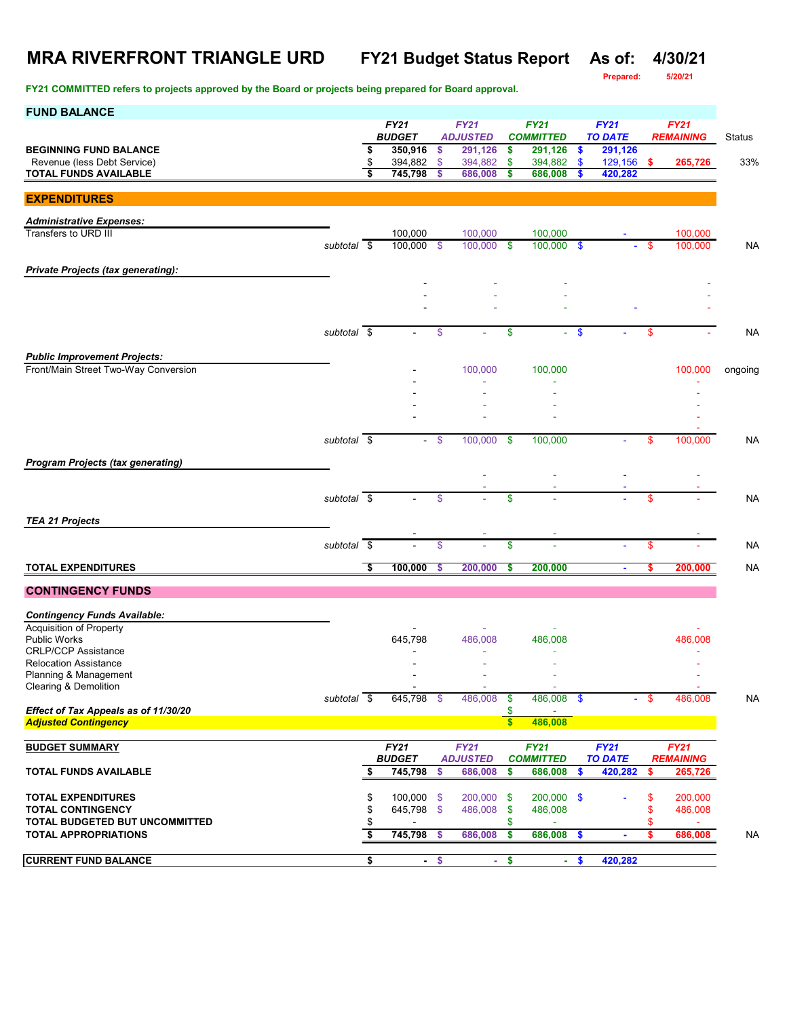# **MRA RIVERFRONT TRIANGLE URD FY21 Budget Status Report As of: 4/30/21**

**FY21 COMMITTED refers to projects approved by the Board or projects being prepared for Board approval.**

**Prepared: 5/20/21**

| <b>FUND BALANCE</b>                                                         |                          |          |                            |          |                                |                                 |                                 |                           |                               |          |                                 |           |
|-----------------------------------------------------------------------------|--------------------------|----------|----------------------------|----------|--------------------------------|---------------------------------|---------------------------------|---------------------------|-------------------------------|----------|---------------------------------|-----------|
|                                                                             |                          |          | FY21<br><b>BUDGET</b>      |          | <b>FY21</b><br><b>ADJUSTED</b> | <b>FY21</b><br><b>COMMITTED</b> |                                 |                           | <b>FY21</b><br><b>TO DATE</b> |          | <b>FY21</b><br><b>REMAINING</b> | Status    |
| <b>BEGINNING FUND BALANCE</b>                                               |                          | \$       | 350,916                    | \$       | 291,126                        | \$                              | 291,126                         | \$                        | 291,126                       |          |                                 |           |
| Revenue (less Debt Service)<br><b>TOTAL FUNDS AVAILABLE</b>                 |                          | \$<br>\$ | 394,882<br>745,798         | \$<br>\$ | 394,882<br>686,008             | \$<br>\$                        | 394,882<br>686,008              | <b>S</b><br>-S            | 129,156<br>420,282            | -\$      | 265,726                         | 33%       |
|                                                                             |                          |          |                            |          |                                |                                 |                                 |                           |                               |          |                                 |           |
| <b>EXPENDITURES</b>                                                         |                          |          |                            |          |                                |                                 |                                 |                           |                               |          |                                 |           |
| <b>Administrative Expenses:</b>                                             |                          |          |                            |          |                                |                                 |                                 |                           |                               |          |                                 |           |
| Transfers to URD III                                                        |                          |          | 100,000                    |          | 100,000<br>100.000             |                                 | 100,000                         | $\mathbf{\$}$             |                               |          | 100,000                         |           |
|                                                                             | subtotal \$              |          | 100,000 \$                 |          |                                | $\mathbf{\$}$                   | 100,000                         |                           |                               | \$       | 100,000                         | <b>NA</b> |
| <b>Private Projects (tax generating):</b>                                   |                          |          |                            |          |                                |                                 |                                 |                           |                               |          |                                 |           |
|                                                                             |                          |          |                            |          |                                |                                 |                                 |                           |                               |          |                                 |           |
|                                                                             |                          |          |                            |          |                                |                                 |                                 |                           |                               |          |                                 |           |
|                                                                             | subtotal \$              |          |                            | \$       |                                | \$                              | a.                              | $\boldsymbol{\mathsf{s}}$ |                               | \$       |                                 | <b>NA</b> |
|                                                                             |                          |          |                            |          |                                |                                 |                                 |                           |                               |          |                                 |           |
| <b>Public Improvement Projects:</b><br>Front/Main Street Two-Way Conversion |                          |          |                            |          | 100,000                        |                                 | 100,000                         |                           |                               |          | 100,000                         | ongoing   |
|                                                                             |                          |          |                            |          |                                |                                 |                                 |                           |                               |          |                                 |           |
|                                                                             |                          |          |                            |          |                                |                                 |                                 |                           |                               |          |                                 |           |
|                                                                             |                          |          |                            |          |                                |                                 |                                 |                           |                               |          |                                 |           |
|                                                                             | subtotal $\overline{\$}$ |          |                            | \$       | 100,000                        | \$                              | 100,000                         |                           |                               | \$       | 100,000                         | <b>NA</b> |
|                                                                             |                          |          |                            |          |                                |                                 |                                 |                           |                               |          |                                 |           |
| <b>Program Projects (tax generating)</b>                                    |                          |          |                            |          |                                |                                 |                                 |                           |                               |          |                                 |           |
|                                                                             |                          |          |                            |          |                                |                                 |                                 |                           |                               |          |                                 |           |
|                                                                             | subtotal $\overline{\$}$ |          |                            | \$       |                                | \$                              |                                 |                           |                               | \$       |                                 | <b>NA</b> |
| <b>TEA 21 Projects</b>                                                      |                          |          |                            |          |                                |                                 |                                 |                           |                               |          |                                 |           |
|                                                                             | subtotal \$              |          |                            | \$       |                                | \$                              |                                 |                           |                               | S        |                                 | <b>NA</b> |
|                                                                             |                          |          |                            |          |                                |                                 |                                 |                           |                               |          |                                 |           |
| <b>TOTAL EXPENDITURES</b>                                                   |                          | S,       | 100,000                    | \$       | 200,000                        | \$                              | 200,000                         |                           | $\blacksquare$                | \$       | 200,000                         | <b>NA</b> |
| <b>CONTINGENCY FUNDS</b>                                                    |                          |          |                            |          |                                |                                 |                                 |                           |                               |          |                                 |           |
| <b>Contingency Funds Available:</b>                                         |                          |          |                            |          |                                |                                 |                                 |                           |                               |          |                                 |           |
| <b>Acquisition of Property</b>                                              |                          |          |                            |          |                                |                                 |                                 |                           |                               |          |                                 |           |
| <b>Public Works</b><br><b>CRLP/CCP Assistance</b>                           |                          |          | 645,798                    |          | 486,008                        |                                 | 486,008                         |                           |                               |          | 486,008                         |           |
| <b>Relocation Assistance</b>                                                |                          |          |                            |          |                                |                                 |                                 |                           |                               |          |                                 |           |
| Planning & Management<br>Clearing & Demolition                              |                          |          |                            |          |                                |                                 |                                 |                           |                               |          |                                 |           |
|                                                                             | subtotal $\sqrt{s}$      |          | 645,798 \$                 |          | 486,008                        | $\frac{1}{2}$                   | 486,008 \$                      |                           |                               | - \$     | 486,008                         | <b>NA</b> |
| Effect of Tax Appeals as of 11/30/20<br><b>Adjusted Contingency</b>         |                          |          |                            |          |                                | \$<br>$\sqrt{3}$                | 486,008                         |                           |                               |          |                                 |           |
|                                                                             |                          |          |                            |          |                                |                                 |                                 |                           |                               |          |                                 |           |
| <b>BUDGET SUMMARY</b>                                                       |                          |          | FY21<br><b>BUDGET</b>      |          | <b>FY21</b><br><b>ADJUSTED</b> |                                 | <b>FY21</b><br><b>COMMITTED</b> |                           | <b>FY21</b><br><b>TO DATE</b> |          | <b>FY21</b><br><b>REMAINING</b> |           |
| <b>TOTAL FUNDS AVAILABLE</b>                                                |                          | \$       | 745,798                    | \$       | 686,008                        | \$                              | 686,008                         | \$                        | 420,282                       | \$       | 265,726                         |           |
|                                                                             |                          |          |                            |          |                                |                                 |                                 |                           |                               |          |                                 |           |
| <b>TOTAL EXPENDITURES</b><br><b>TOTAL CONTINGENCY</b>                       |                          | \$<br>\$ | $100,000$ \$<br>645,798 \$ |          | 200,000 \$<br>486,008          | \$                              | 200,000 \$<br>486,008           |                           |                               | \$<br>\$ | 200,000<br>486,008              |           |
| TOTAL BUDGETED BUT UNCOMMITTED                                              |                          | \$       |                            |          |                                | \$                              |                                 |                           |                               |          | $\omega$                        |           |
| <b>TOTAL APPROPRIATIONS</b>                                                 |                          | \$       | 745,798                    | \$       | 686,008                        | \$                              | 686,008                         | \$                        | $\blacksquare$                | \$       | 686,008                         | <b>NA</b> |
| <b>CURRENT FUND BALANCE</b>                                                 |                          | \$       |                            | $-$ \$   |                                | $-$ \$                          |                                 | $-5$                      | 420,282                       |          |                                 |           |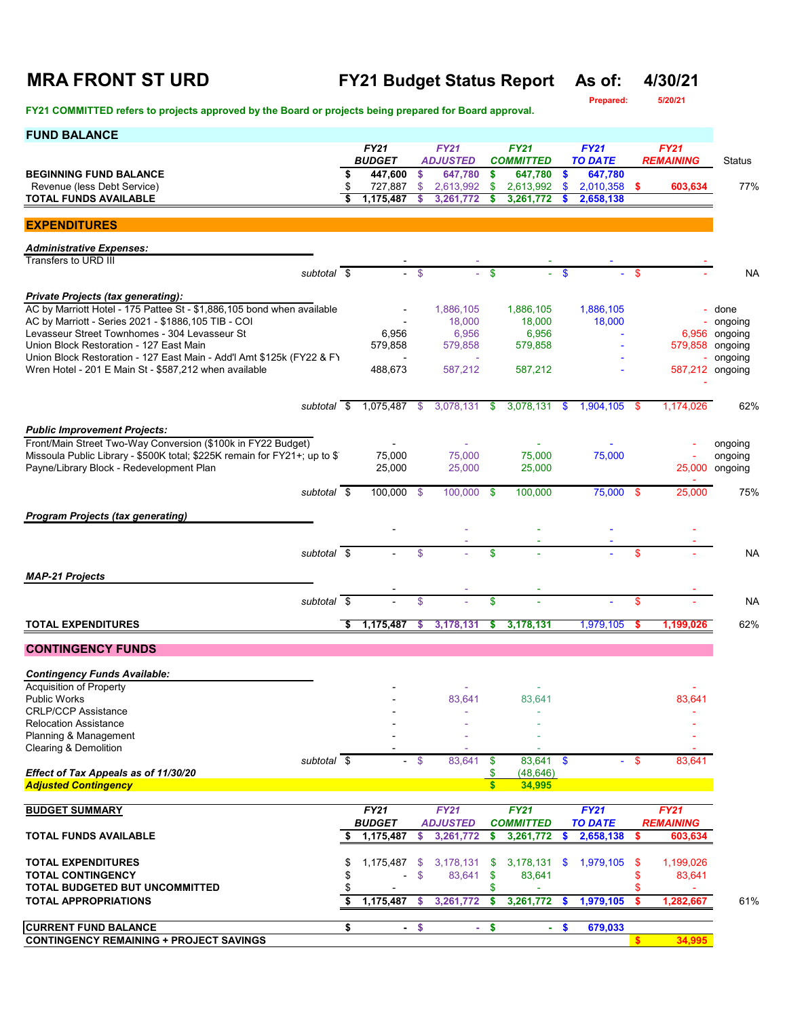# **MRA FRONT ST URD FY21 Budget Status Report As of: 4/30/21**

**Prepared: 5/20/21**

**FY21 COMMITTED refers to projects approved by the Board or projects being prepared for Board approval.** 

| FY21 COMMITTED refers to projects approved by the Board or projects being prepared for Board approval.                         |    |                              |               |                                |              |                                 |               |                               |                  |                             |                            |
|--------------------------------------------------------------------------------------------------------------------------------|----|------------------------------|---------------|--------------------------------|--------------|---------------------------------|---------------|-------------------------------|------------------|-----------------------------|----------------------------|
| <b>FUND BALANCE</b>                                                                                                            |    | <b>FY21</b><br><b>BUDGET</b> |               | <b>FY21</b><br><b>ADJUSTED</b> |              | <b>FY21</b><br><b>COMMITTED</b> |               | <b>FY21</b><br><b>TO DATE</b> | <b>REMAINING</b> | Status                      |                            |
| <b>BEGINNING FUND BALANCE</b>                                                                                                  |    | 447,600                      | \$            | 647,780                        | \$           | 647,780                         | \$            | 647,780                       |                  |                             |                            |
| Revenue (less Debt Service)                                                                                                    |    | 727,887                      | \$            | 2,613,992                      | \$           | 2,613,992                       | $\mathbf{s}$  | 2,010,358                     | -\$              | 603,634                     | 77%                        |
| TOTAL FUNDS AVAILABLE                                                                                                          |    | 1,175,487                    | \$            | 3,261,772                      |              | 3,261,772                       |               | 2,658,138                     |                  |                             |                            |
| <b>EXPENDITURES</b>                                                                                                            |    |                              |               |                                |              |                                 |               |                               |                  |                             |                            |
| <b>Administrative Expenses:</b>                                                                                                |    |                              |               |                                |              |                                 |               |                               |                  |                             |                            |
| Transfers to URD III                                                                                                           |    |                              |               |                                |              |                                 |               |                               |                  |                             |                            |
| subtotal \$                                                                                                                    |    | $\sim$                       | $\mathbf{\$}$ | ÷.                             | \$           | $\sim$                          | $\mathbf{\$}$ |                               | -\$              |                             | NA                         |
| <b>Private Projects (tax generating):</b>                                                                                      |    |                              |               |                                |              |                                 |               |                               |                  |                             |                            |
| AC by Marriott Hotel - 175 Pattee St - \$1,886,105 bond when available                                                         |    |                              |               | 1,886,105                      |              | 1,886,105                       |               | 1,886,105                     |                  | ÷.                          | done                       |
| AC by Marriott - Series 2021 - \$1886,105 TIB - COI                                                                            |    |                              |               | 18,000                         |              | 18,000                          |               | 18,000                        |                  |                             | ongoing                    |
| Levasseur Street Townhomes - 304 Levasseur St                                                                                  |    | 6,956                        |               | 6,956                          |              | 6,956                           |               |                               |                  | 6,956                       | ongoing                    |
| Union Block Restoration - 127 East Main                                                                                        |    | 579,858                      |               | 579,858                        |              | 579,858                         |               |                               |                  | 579,858                     | ongoing                    |
| Union Block Restoration - 127 East Main - Add'l Amt \$125k (FY22 & FY<br>Wren Hotel - 201 E Main St - \$587,212 when available |    | 488,673                      |               | 587,212                        |              | 587,212                         |               |                               |                  |                             | ongoing<br>587,212 ongoing |
|                                                                                                                                |    |                              |               |                                |              |                                 |               |                               |                  |                             |                            |
|                                                                                                                                |    |                              |               |                                |              |                                 |               |                               |                  |                             |                            |
| subtotal \$                                                                                                                    |    | 1,075,487                    | \$            | 3,078,131                      | -\$          | 3,078,131                       | - \$          | 1,904,105 \$                  |                  | 1,174,026                   | 62%                        |
| <b>Public Improvement Projects:</b>                                                                                            |    |                              |               |                                |              |                                 |               |                               |                  |                             |                            |
| Front/Main Street Two-Way Conversion (\$100k in FY22 Budget)                                                                   |    |                              |               |                                |              |                                 |               |                               |                  |                             | ongoing                    |
| Missoula Public Library - \$500K total; \$225K remain for FY21+; up to \$1                                                     |    | 75,000                       |               | 75.000                         |              | 75,000                          |               | 75,000                        |                  |                             | ongoing                    |
| Payne/Library Block - Redevelopment Plan                                                                                       |    | 25,000                       |               | 25,000                         |              | 25,000                          |               |                               |                  |                             | 25,000 ongoing             |
| subtotal \$                                                                                                                    |    | 100,000 \$                   |               | 100,000 \$                     |              | 100,000                         |               | 75,000 \$                     |                  | 25,000                      | 75%                        |
|                                                                                                                                |    |                              |               |                                |              |                                 |               |                               |                  |                             |                            |
| <b>Program Projects (tax generating)</b>                                                                                       |    |                              |               |                                |              |                                 |               |                               |                  |                             |                            |
|                                                                                                                                |    |                              |               |                                |              |                                 |               |                               |                  |                             |                            |
| subtotal \$                                                                                                                    |    |                              | $\mathsf{\$}$ |                                | \$           |                                 |               |                               | \$               |                             | NA                         |
|                                                                                                                                |    |                              |               |                                |              |                                 |               |                               |                  |                             |                            |
| <b>MAP-21 Projects</b>                                                                                                         |    |                              |               |                                |              |                                 |               |                               |                  |                             |                            |
| subtotal \$                                                                                                                    |    |                              | \$            |                                | \$           |                                 |               |                               | \$               |                             | NA                         |
|                                                                                                                                |    |                              |               |                                |              |                                 |               |                               |                  |                             |                            |
| <b>TOTAL EXPENDITURES</b>                                                                                                      |    | 1,175,487                    | \$            | 3,178,131                      |              | 3,178,131                       |               | 1,979,105                     |                  | 1,199,026                   | 62%                        |
| <b>CONTINGENCY FUNDS</b>                                                                                                       |    |                              |               |                                |              |                                 |               |                               |                  |                             |                            |
|                                                                                                                                |    |                              |               |                                |              |                                 |               |                               |                  |                             |                            |
| <b>Contingency Funds Available:</b>                                                                                            |    |                              |               |                                |              |                                 |               |                               |                  |                             |                            |
| Acquisition of Property<br><b>Public Works</b>                                                                                 |    |                              |               | 83,641                         |              | 83,641                          |               |                               |                  | 83,641                      |                            |
| <b>CRLP/CCP Assistance</b>                                                                                                     |    |                              |               |                                |              |                                 |               |                               |                  |                             |                            |
| <b>Relocation Assistance</b>                                                                                                   |    |                              |               |                                |              |                                 |               |                               |                  |                             |                            |
| Planning & Management                                                                                                          |    |                              |               |                                |              |                                 |               |                               |                  |                             |                            |
| Clearing & Demolition                                                                                                          |    |                              |               |                                |              |                                 |               |                               |                  |                             |                            |
| subtotal \$<br>Effect of Tax Appeals as of 11/30/20                                                                            |    | $\sim$                       | $\mathsf{\$}$ | 83,641                         | \$<br>\$     | 83,641<br>(48, 646)             | $\mathbf{\$}$ |                               | $\mathbf{\$}$    | 83,641                      |                            |
| <b>Adjusted Contingency</b>                                                                                                    |    |                              |               |                                | $\mathbf{s}$ | 34,995                          |               |                               |                  |                             |                            |
|                                                                                                                                |    |                              |               |                                |              |                                 |               |                               |                  |                             |                            |
| <b>BUDGET SUMMARY</b>                                                                                                          |    | FY21                         |               | <b>FY21</b>                    |              | <b>FY21</b>                     |               | <b>FY21</b>                   |                  | <b>FY21</b>                 |                            |
| TOTAL FUNDS AVAILABLE                                                                                                          | S  | <b>BUDGET</b><br>1,175,487   | \$            | <b>ADJUSTED</b><br>3,261,772   | \$           | <b>COMMITTED</b><br>3,261,772   | \$            | <b>TO DATE</b><br>2,658,138   | \$               | <b>REMAINING</b><br>603,634 |                            |
|                                                                                                                                |    |                              |               |                                |              |                                 |               |                               |                  |                             |                            |
| <b>TOTAL EXPENDITURES</b>                                                                                                      | \$ | 1,175,487                    | \$            | 3,178,131                      | -\$          | 3,178,131                       | \$            | 1,979,105                     | -\$              | 1,199,026                   |                            |
| <b>TOTAL CONTINGENCY</b>                                                                                                       | \$ |                              | \$            | 83,641                         | \$           | 83,641                          |               |                               | \$               | 83,641                      |                            |
| TOTAL BUDGETED BUT UNCOMMITTED                                                                                                 |    |                              |               |                                | \$           |                                 |               |                               | \$               |                             |                            |
| <b>TOTAL APPROPRIATIONS</b>                                                                                                    | \$ | 1,175,487                    | \$            | 3,261,772                      | \$           | 3,261,772                       | \$            | 1,979,105                     | -\$              | 1,282,667                   | 61%                        |
| <b>CURRENT FUND BALANCE</b>                                                                                                    | \$ |                              | $-$ \$        | $\sim$                         | \$           |                                 | $-$ \$        | 679,033                       |                  |                             |                            |
|                                                                                                                                |    |                              |               |                                |              |                                 |               |                               |                  |                             |                            |

**CONTINGENCY REMAINING + PROJECT SAVINGS \$ 34,995**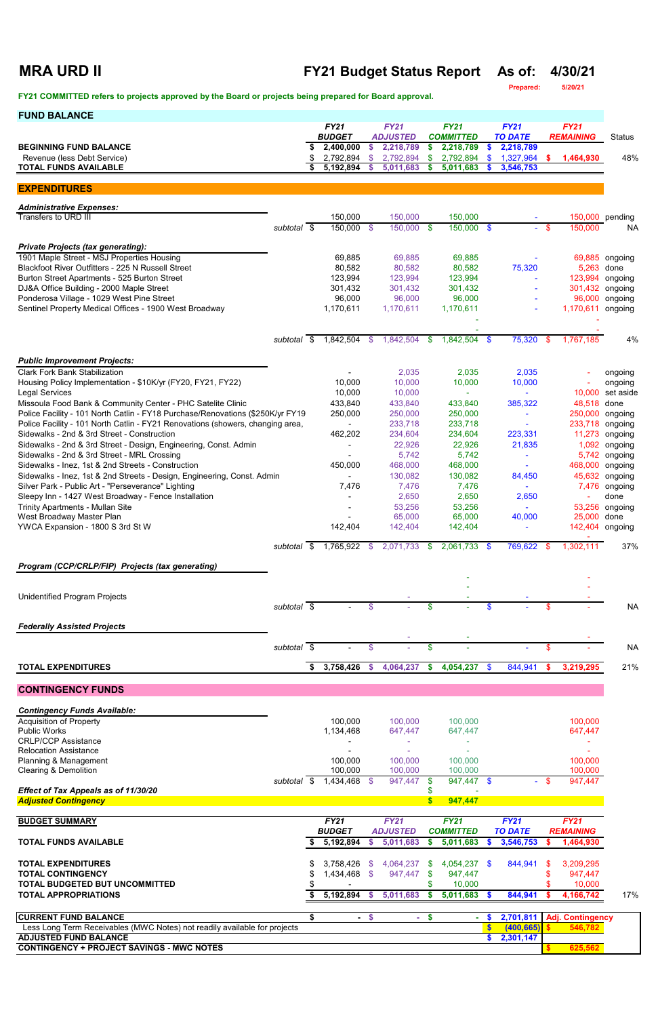## **MRA URD II FY21 Budget Status Report As of: 4/30/21**

**Prepared: 5/20/21**

**FY21 COMMITTED refers to projects approved by the Board or projects being prepared for Board approval.** 

| <b>FUND BALANCE</b>                                                                                             |                          |    |                                  |          |                              |        |                                 |              |                             |        |                               |                        |
|-----------------------------------------------------------------------------------------------------------------|--------------------------|----|----------------------------------|----------|------------------------------|--------|---------------------------------|--------------|-----------------------------|--------|-------------------------------|------------------------|
|                                                                                                                 |                          |    | <b>FY21</b>                      |          | <b>FY21</b>                  |        | <b>FY21</b>                     |              | <b>FY21</b>                 |        | <b>FY21</b>                   |                        |
| <b>BEGINNING FUND BALANCE</b>                                                                                   |                          | \$ | <b>BUDGET</b><br>2,400,000       | \$       | <b>ADJUSTED</b><br>2,218,789 | \$.    | <b>COMMITTED</b><br>2,218,789   | \$.          | <b>TO DATE</b><br>2,218,789 |        | <b>REMAINING</b>              | <b>Status</b>          |
| Revenue (less Debt Service)                                                                                     |                          |    | 2,792,894                        | -\$      | 2,792,894                    | \$     | 2,792,894                       | <b>S</b>     | 1,327,964                   | \$.    | 1,464,930                     | 48%                    |
| <b>TOTAL FUNDS AVAILABLE</b>                                                                                    |                          | \$ | 5,192,894                        | -S       | 5,011,683                    | \$     | 5,011,683                       | S.           | 3,546,753                   |        |                               |                        |
| <b>EXPENDITURES</b>                                                                                             |                          |    |                                  |          |                              |        |                                 |              |                             |        |                               |                        |
| <b>Administrative Expenses:</b>                                                                                 |                          |    |                                  |          |                              |        |                                 |              |                             |        |                               |                        |
| Transfers to URD III                                                                                            |                          |    | 150,000                          |          | 150,000                      |        | 150,000                         |              |                             |        |                               | 150,000 pending        |
|                                                                                                                 | subtotal \$              |    | 150,000 \$                       |          | 150,000 \$                   |        | 150,000 \$                      |              |                             | $-$ \$ | 150,000                       | <b>NA</b>              |
| <b>Private Projects (tax generating):</b>                                                                       |                          |    |                                  |          |                              |        |                                 |              |                             |        |                               |                        |
| 1901 Maple Street - MSJ Properties Housing<br>Blackfoot River Outfitters - 225 N Russell Street                 |                          |    | 69,885<br>80,582                 |          | 69,885<br>80,582             |        | 69,885<br>80,582                |              | 75,320                      |        | 5,263                         | 69,885 ongoing<br>done |
| Burton Street Apartments - 525 Burton Street                                                                    |                          |    | 123,994                          |          | 123,994                      |        | 123,994                         |              |                             |        | 123,994                       | ongoing                |
| DJ&A Office Building - 2000 Maple Street                                                                        |                          |    | 301,432                          |          | 301,432                      |        | 301,432                         |              |                             |        | 301,432                       | ongoing                |
| Ponderosa Village - 1029 West Pine Street                                                                       |                          |    | 96,000                           |          | 96,000                       |        | 96,000                          |              |                             |        | 96,000                        | ongoing                |
| Sentinel Property Medical Offices - 1900 West Broadway                                                          |                          |    | 1,170,611                        |          | 1,170,611                    |        | 1,170,611                       |              |                             |        | 1,170,611 ongoing             |                        |
|                                                                                                                 |                          |    |                                  |          |                              |        |                                 |              |                             |        |                               |                        |
|                                                                                                                 | subtotal \$              |    | 1,842,504 \$                     |          | 1,842,504                    | - \$   | 1,842,504                       | - \$         | 75,320                      | -\$    | 1,767,185                     | 4%                     |
| <b>Public Improvement Projects:</b>                                                                             |                          |    |                                  |          |                              |        |                                 |              |                             |        |                               |                        |
| <b>Clark Fork Bank Stabilization</b>                                                                            |                          |    |                                  |          | 2,035                        |        | 2,035                           |              | 2,035                       |        |                               | ongoing                |
| Housing Policy Implementation - \$10K/yr (FY20, FY21, FY22)<br><b>Legal Services</b>                            |                          |    | 10,000<br>10,000                 |          | 10,000<br>10,000             |        | 10,000                          |              | 10,000                      |        | 10,000                        | ongoing<br>set aside   |
| Missoula Food Bank & Community Center - PHC Satelite Clinic                                                     |                          |    | 433,840                          |          | 433,840                      |        | 433,840                         |              | 385,322                     |        | 48,518                        | done                   |
| Police Facility - 101 North Catlin - FY18 Purchase/Renovations (\$250K/yr FY19                                  |                          |    | 250,000                          |          | 250,000                      |        | 250,000                         |              | ÷                           |        | 250,000                       | ongoing                |
| Police Facility - 101 North Catlin - FY21 Renovations (showers, changing area,                                  |                          |    | $\blacksquare$                   |          | 233,718                      |        | 233,718                         |              |                             |        | 233,718                       | ongoing                |
| Sidewalks - 2nd & 3rd Street - Construction                                                                     |                          |    | 462,202                          |          | 234,604                      |        | 234,604                         |              | 223,331                     |        | 11,273                        | ongoing                |
| Sidewalks - 2nd & 3rd Street - Design, Engineering, Const. Admin<br>Sidewalks - 2nd & 3rd Street - MRL Crossing |                          |    |                                  |          | 22,926<br>5,742              |        | 22,926<br>5,742                 |              | 21,835                      |        | 1,092<br>5,742                | ongoing<br>ongoing     |
| Sidewalks - Inez, 1st & 2nd Streets - Construction                                                              |                          |    | 450,000                          |          | 468,000                      |        | 468,000                         |              |                             |        | 468,000                       | ongoing                |
| Sidewalks - Inez, 1st & 2nd Streets - Design, Engineering, Const. Admin                                         |                          |    |                                  |          | 130,082                      |        | 130,082                         |              | 84,450                      |        |                               | 45,632 ongoing         |
| Silver Park - Public Art - "Perseverance" Lighting                                                              |                          |    | 7,476                            |          | 7,476                        |        | 7,476                           |              | $\sim$                      |        |                               | 7,476 ongoing          |
| Sleepy Inn - 1427 West Broadway - Fence Installation<br><b>Trinity Apartments - Mullan Site</b>                 |                          |    |                                  |          | 2,650<br>53,256              |        | 2,650<br>53,256                 |              | 2,650                       |        | 53,256                        | done<br>ongoing        |
| West Broadway Master Plan                                                                                       |                          |    |                                  |          | 65,000                       |        | 65,000                          |              | 40,000                      |        | 25,000                        | done                   |
| YWCA Expansion - 1800 S 3rd St W                                                                                |                          |    | 142,404                          |          | 142,404                      |        | 142,404                         |              |                             |        |                               | 142,404 ongoing        |
|                                                                                                                 | subtotal \$              |    | 1,765,922 \$                     |          | 2,071,733 \$                 |        | 2,061,733                       | - \$         | 769,622                     | - \$   | 1,302,111                     | 37%                    |
|                                                                                                                 |                          |    |                                  |          |                              |        |                                 |              |                             |        |                               |                        |
| Program (CCP/CRLP/FIP) Projects (tax generating)                                                                |                          |    |                                  |          |                              |        |                                 |              |                             |        |                               |                        |
|                                                                                                                 |                          |    |                                  |          |                              |        |                                 |              |                             |        |                               |                        |
| <b>Unidentified Program Projects</b>                                                                            | subtotal \$              |    |                                  | \$       |                              | \$     |                                 | S            |                             | \$     |                               | <b>NA</b>              |
|                                                                                                                 |                          |    |                                  |          |                              |        |                                 |              |                             |        |                               |                        |
| <b>Federally Assisted Projects</b>                                                                              |                          |    |                                  |          |                              |        |                                 |              |                             |        |                               |                        |
|                                                                                                                 | subtotal $\overline{\$}$ |    |                                  | \$       |                              | \$     |                                 |              |                             | \$     |                               | <b>NA</b>              |
| <b>TOTAL EXPENDITURES</b>                                                                                       |                          | \$ | 3,758,426                        | <b>S</b> | 4,064,237                    | \$.    | 4,054,237                       | \$           | 844,941                     | s.     | 3,219,295                     | 21%                    |
|                                                                                                                 |                          |    |                                  |          |                              |        |                                 |              |                             |        |                               |                        |
| <b>CONTINGENCY FUNDS</b>                                                                                        |                          |    |                                  |          |                              |        |                                 |              |                             |        |                               |                        |
| <b>Contingency Funds Available:</b>                                                                             |                          |    |                                  |          |                              |        |                                 |              |                             |        |                               |                        |
| <b>Acquisition of Property</b>                                                                                  |                          |    | 100,000                          |          | 100,000                      |        | 100,000                         |              |                             |        | 100,000                       |                        |
| <b>Public Works</b><br><b>CRLP/CCP Assistance</b>                                                               |                          |    | 1,134,468                        |          | 647,447                      |        | 647,447                         |              |                             |        | 647,447                       |                        |
| <b>Relocation Assistance</b>                                                                                    |                          |    |                                  |          |                              |        |                                 |              |                             |        |                               |                        |
| Planning & Management                                                                                           |                          |    | 100,000                          |          | 100,000                      |        | 100,000                         |              |                             |        | 100,000                       |                        |
| <b>Clearing &amp; Demolition</b>                                                                                | subtotal \$              |    | 100,000<br>1,434,468 \$          |          | 100,000<br>947,447           | \$.    | 100,000<br>947,447 \$           |              |                             | $-$ \$ | 100,000<br>947,447            |                        |
| Effect of Tax Appeals as of 11/30/20                                                                            |                          |    |                                  |          |                              |        |                                 |              |                             |        |                               |                        |
| <b>Adjusted Contingency</b>                                                                                     |                          |    |                                  |          |                              | S.     | 947,447                         |              |                             |        |                               |                        |
| <b>BUDGET SUMMARY</b>                                                                                           |                          |    | <b>FY21</b>                      |          | <b>FY21</b>                  |        | <b>FY21</b>                     |              | <b>FY21</b>                 |        | <b>FY21</b>                   |                        |
| <b>TOTAL FUNDS AVAILABLE</b>                                                                                    |                          |    | <b>BUDGET</b><br>5,192,894       | S.       | <b>ADJUSTED</b><br>5,011,683 |        | <b>COMMITTED</b><br>\$5,011,683 | S.           | <b>TO DATE</b><br>3,546,753 |        | <b>REMAINING</b><br>1,464,930 |                        |
|                                                                                                                 |                          |    |                                  |          |                              |        |                                 |              |                             |        |                               |                        |
| <b>TOTAL EXPENDITURES</b>                                                                                       |                          |    |                                  |          | $3,758,426$ \$ 4,064,237 \$  |        | 4,054,237 \$                    |              | 844,941                     | - \$   | 3,209,295                     |                        |
| <b>TOTAL CONTINGENCY</b><br><b>TOTAL BUDGETED BUT UNCOMMITTED</b>                                               |                          |    | 1,434,468 \$                     |          | 947,447 \$                   |        | 947,447<br>10,000               |              |                             | S      | 947,447<br>10,000             |                        |
| <b>TOTAL APPROPRIATIONS</b>                                                                                     |                          | S  | $\blacksquare$<br>$5,192,894$ \$ |          | 5,011,683                    |        | \$5,011,683                     |              | 844,941                     |        | 4,166,742                     | 17%                    |
|                                                                                                                 |                          |    |                                  |          |                              |        |                                 |              |                             |        |                               |                        |
| <b>CURRENT FUND BALANCE</b>                                                                                     |                          | \$ |                                  | $-$ \$   |                              | $-$ \$ | $\blacksquare$                  | S.           | 2,701,811                   |        | <b>Adj. Contingency</b>       |                        |
| Less Long Term Receivables (MWC Notes) not readily available for projects<br><b>ADJUSTED FUND BALANCE</b>       |                          |    |                                  |          |                              |        |                                 | $\mathbf{s}$ | (400, 665)<br>\$2,301,147   |        | 546,782                       |                        |
| <b>CONTINGENCY + PROJECT SAVINGS - MWC NOTES</b>                                                                |                          |    |                                  |          |                              |        |                                 |              |                             |        | 625,562                       |                        |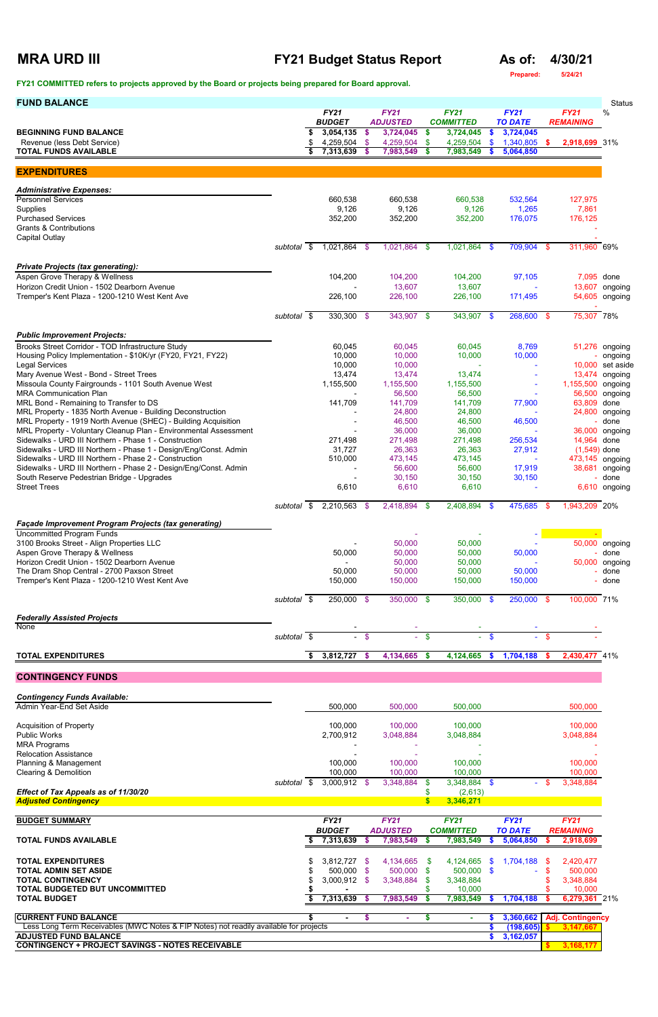### **MRA URD III FY21 Budget Status Report As of: 4/30/21**

**Prepared: 5/24/21**

### **FY21 COMMITTED refers to projects approved by the Board or projects being prepared for Board approval.**

| <b>FUND BALANCE</b>                                                                                                       |             |                              |        |                                |               |                                 |          |                               |    |                                 | <b>Status</b>            |
|---------------------------------------------------------------------------------------------------------------------------|-------------|------------------------------|--------|--------------------------------|---------------|---------------------------------|----------|-------------------------------|----|---------------------------------|--------------------------|
|                                                                                                                           |             | <b>FY21</b><br><b>BUDGET</b> |        | <b>FY21</b><br><b>ADJUSTED</b> |               | <b>FY21</b><br><b>COMMITTED</b> |          | <b>FY21</b><br><b>TO DATE</b> |    | <b>FY21</b><br><b>REMAINING</b> | %                        |
| <b>BEGINNING FUND BALANCE</b>                                                                                             |             | 3,054,135                    | -\$    | 3,724,045                      | $\frac{1}{2}$ | 3,724,045                       | \$       | 3,724,045                     |    |                                 |                          |
| Revenue (less Debt Service)                                                                                               |             | 4,259,504                    | -\$    | 4,259,504                      | $\mathbf{\$}$ | 4,259,504                       | \$       | 1,340,805                     | \$ | 2,918,699 31%                   |                          |
| <b>TOTAL FUNDS AVAILABLE</b>                                                                                              |             | 7,313,639 \$                 |        | 7,983,549                      | \$.           | 7,983,549                       | -S       | 5,064,850                     |    |                                 |                          |
|                                                                                                                           |             |                              |        |                                |               |                                 |          |                               |    |                                 |                          |
| <b>EXPENDITURES</b>                                                                                                       |             |                              |        |                                |               |                                 |          |                               |    |                                 |                          |
| <b>Administrative Expenses:</b>                                                                                           |             |                              |        |                                |               |                                 |          |                               |    |                                 |                          |
| <b>Personnel Services</b>                                                                                                 |             | 660,538                      |        | 660,538                        |               | 660,538                         |          | 532,564                       |    | 127,975                         |                          |
| Supplies                                                                                                                  |             | 9,126                        |        | 9,126                          |               | 9,126                           |          | 1,265                         |    | 7,861                           |                          |
| <b>Purchased Services</b>                                                                                                 |             | 352,200                      |        | 352,200                        |               | 352,200                         |          | 176,075                       |    | 176,125                         |                          |
| <b>Grants &amp; Contributions</b>                                                                                         |             |                              |        |                                |               |                                 |          |                               |    |                                 |                          |
| <b>Capital Outlay</b>                                                                                                     | subtotal \$ | 1,021,864 \$                 |        | 1,021,864 \$                   |               | 1,021,864 \$                    |          | 709,904                       | \$ | 311,960 69%                     |                          |
|                                                                                                                           |             |                              |        |                                |               |                                 |          |                               |    |                                 |                          |
| <b>Private Projects (tax generating):</b>                                                                                 |             |                              |        |                                |               |                                 |          |                               |    |                                 |                          |
| Aspen Grove Therapy & Wellness                                                                                            |             | 104,200                      |        | 104,200                        |               | 104,200                         |          | 97,105                        |    |                                 | 7,095 done               |
| Horizon Credit Union - 1502 Dearborn Avenue                                                                               |             |                              |        | 13,607                         |               | 13,607                          |          |                               |    |                                 | 13,607 ongoing           |
| Tremper's Kent Plaza - 1200-1210 West Kent Ave                                                                            |             | 226,100                      |        | 226,100                        |               | 226,100                         |          | 171,495                       |    |                                 | 54,605 ongoing           |
|                                                                                                                           | subtotal \$ | $330,300$ \$                 |        | 343,907 \$                     |               | 343,907 \$                      |          | 268,600                       | \$ | 75,307 78%                      |                          |
|                                                                                                                           |             |                              |        |                                |               |                                 |          |                               |    |                                 |                          |
| <b>Public Improvement Projects:</b>                                                                                       |             |                              |        |                                |               |                                 |          |                               |    |                                 |                          |
| Brooks Street Corridor - TOD Infrastructure Study                                                                         |             | 60,045                       |        | 60,045                         |               | 60,045                          |          | 8,769                         |    |                                 | 51,276 ongoing           |
| Housing Policy Implementation - \$10K/yr (FY20, FY21, FY22)                                                               |             | 10,000                       |        | 10,000                         |               | 10,000                          |          | 10,000                        |    |                                 | ongoing                  |
| <b>Legal Services</b>                                                                                                     |             | 10,000                       |        | 10,000                         |               |                                 |          |                               |    |                                 | 10,000 set aside         |
| Mary Avenue West - Bond - Street Trees<br>Missoula County Fairgrounds - 1101 South Avenue West                            |             | 13,474<br>1,155,500          |        | 13,474<br>1,155,500            |               | 13,474<br>1,155,500             |          |                               |    | 1,155,500 ongoing               | 13,474 ongoing           |
| <b>MRA Communication Plan</b>                                                                                             |             |                              |        | 56,500                         |               | 56,500                          |          |                               |    |                                 | 56,500 ongoing           |
| MRL Bond - Remaining to Transfer to DS                                                                                    |             | 141,709                      |        | 141,709                        |               | 141,709                         |          | 77,900                        |    | 63,809 done                     |                          |
| MRL Property - 1835 North Avenue - Building Deconstruction                                                                |             |                              |        | 24,800                         |               | 24,800                          |          |                               |    |                                 | 24,800 ongoing           |
| MRL Property - 1919 North Avenue (SHEC) - Building Acquisition                                                            |             |                              |        | 46,500                         |               | 46,500                          |          | 46,500                        |    |                                 | - done                   |
| MRL Property - Voluntary Cleanup Plan - Environmental Assessment<br>Sidewalks - URD III Northern - Phase 1 - Construction |             | 271,498                      |        | 36,000<br>271,498              |               | 36,000<br>271,498               |          | 256,534                       |    | 14,964 done                     | 36,000 ongoing           |
| Sidewalks - URD III Northern - Phase 1 - Design/Eng/Const. Admin                                                          |             | 31,727                       |        | 26,363                         |               | 26,363                          |          | 27,912                        |    | $(1,549)$ done                  |                          |
| Sidewalks - URD III Northern - Phase 2 - Construction                                                                     |             | 510,000                      |        | 473,145                        |               | 473,145                         |          |                               |    |                                 | 473,145 ongoing          |
| Sidewalks - URD III Northern - Phase 2 - Design/Eng/Const. Admin                                                          |             |                              |        | 56,600                         |               | 56,600                          |          | 17,919                        |    |                                 | 38,681 ongoing           |
| South Reserve Pedestrian Bridge - Upgrades                                                                                |             |                              |        | 30,150                         |               | 30,150                          |          | 30,150                        |    |                                 | done                     |
| <b>Street Trees</b>                                                                                                       |             | 6,610                        |        | 6,610                          |               | 6,610                           |          |                               |    |                                 | 6,610 ongoing            |
|                                                                                                                           | subtotal \$ | $2,210,563$ \$               |        | 2,418,894                      | - \$          | 2,408,894 \$                    |          | 475,685                       | \$ | 1,943,209 20%                   |                          |
|                                                                                                                           |             |                              |        |                                |               |                                 |          |                               |    |                                 |                          |
| <b>Façade Improvement Program Projects (tax generating)</b>                                                               |             |                              |        |                                |               |                                 |          |                               |    |                                 |                          |
| <b>Uncommitted Program Funds</b><br>3100 Brooks Street - Align Properties LLC                                             |             |                              |        |                                |               |                                 |          |                               |    |                                 |                          |
| Aspen Grove Therapy & Wellness                                                                                            |             | 50,000                       |        | 50,000<br>50,000               |               | 50,000<br>50,000                |          | 50,000                        |    |                                 | 50,000 ongoing<br>- done |
| Horizon Credit Union - 1502 Dearborn Avenue                                                                               |             |                              |        | 50,000                         |               | 50,000                          |          |                               |    |                                 | 50,000 ongoing           |
| The Dram Shop Central - 2700 Paxson Street                                                                                |             | 50,000                       |        | 50,000                         |               | 50,000                          |          | 50,000                        |    |                                 | done                     |
| Tremper's Kent Plaza - 1200-1210 West Kent Ave                                                                            |             | 150,000                      |        | 150,000                        |               | 150,000                         |          | 150,000                       |    |                                 | done                     |
|                                                                                                                           |             | 250,000 \$                   |        | 350,000 \$                     |               | 350,000 \$                      |          | 250,000 \$                    |    | 100,000 71%                     |                          |
|                                                                                                                           | subtotal \$ |                              |        |                                |               |                                 |          |                               |    |                                 |                          |
| <b>Federally Assisted Projects</b>                                                                                        |             |                              |        |                                |               |                                 |          |                               |    |                                 |                          |
| None                                                                                                                      |             |                              |        |                                |               |                                 |          |                               |    |                                 |                          |
|                                                                                                                           | subtotal \$ |                              | $-$ \$ |                                | $-$ \$        |                                 | $-$ \$   | $\mathbf{r}$                  | \$ |                                 |                          |
| <b>TOTAL EXPENDITURES</b>                                                                                                 |             | 3,812,727 \$                 |        | 4,134,665                      | <b>S</b>      | 4,124,665                       | <b>S</b> | 1,704,188                     | -S | 2,430,477 41%                   |                          |
|                                                                                                                           |             |                              |        |                                |               |                                 |          |                               |    |                                 |                          |
| <b>CONTINGENCY FUNDS</b>                                                                                                  |             |                              |        |                                |               |                                 |          |                               |    |                                 |                          |
| <b>Contingency Funds Available:</b>                                                                                       |             |                              |        |                                |               |                                 |          |                               |    |                                 |                          |
| Admin Year-End Set Aside                                                                                                  |             | 500,000                      |        | 500,000                        |               | 500,000                         |          |                               |    | 500,000                         |                          |
|                                                                                                                           |             |                              |        |                                |               |                                 |          |                               |    |                                 |                          |
| <b>Acquisition of Property</b>                                                                                            |             | 100,000                      |        | 100,000                        |               | 100,000                         |          |                               |    | 100,000                         |                          |
| Public Works                                                                                                              |             | 2,700,912                    |        | 3,048,884                      |               | 3,048,884                       |          |                               |    | 3,048,884                       |                          |
| <b>MRA Programs</b>                                                                                                       |             |                              |        |                                |               |                                 |          |                               |    |                                 |                          |

| <b>MRA Programs</b>                                                                   |             |                |      |                 |          |                  |     |                |      |                         |  |
|---------------------------------------------------------------------------------------|-------------|----------------|------|-----------------|----------|------------------|-----|----------------|------|-------------------------|--|
| <b>Relocation Assistance</b>                                                          |             |                |      |                 |          |                  |     |                |      |                         |  |
| Planning & Management                                                                 |             | 100,000        |      | 100,000         |          | 100,000          |     |                |      | 100,000                 |  |
| Clearing & Demolition                                                                 |             | 100,000        |      | 100,000         |          | 100,000          |     |                |      | 100,000                 |  |
|                                                                                       | subtotal \$ | $3,000,912$ \$ |      | 3,348,884       | S.       | 3,348,884        | \$. |                |      | 3,348,884               |  |
| Effect of Tax Appeals as of 11/30/20                                                  |             |                |      |                 |          | (2,613)          |     |                |      |                         |  |
| <b>Adjusted Contingency</b>                                                           |             |                |      |                 |          | 3,346,271        |     |                |      |                         |  |
| <b>BUDGET SUMMARY</b>                                                                 |             | <b>FY21</b>    |      | <b>FY21</b>     |          | <b>FY21</b>      |     | <b>FY21</b>    |      | <b>FY21</b>             |  |
|                                                                                       |             | <b>BUDGET</b>  |      | <b>ADJUSTED</b> |          | <b>COMMITTED</b> |     | <b>TO DATE</b> |      | <b>REMAINING</b>        |  |
| <b>TOTAL FUNDS AVAILABLE</b>                                                          |             | 7,313,639      |      | 7,983,549       | S        | 7,983,549        | ж   | 5,064,850      |      | 2,918,699               |  |
| <b>TOTAL EXPENDITURES</b>                                                             |             | 3,812,727      | - \$ | 4,134,665       | <b>S</b> | 4.124.665        | \$. | 1,704,188      | - \$ | 2,420,477               |  |
| <b>TOTAL ADMIN SET ASIDE</b>                                                          |             | 500,000 \$     |      | 500,000         | <b>S</b> | 500,000          | \$. |                |      | 500,000                 |  |
| <b>TOTAL CONTINGENCY</b>                                                              |             | $3,000,912$ \$ |      | 3,348,884       |          | 3,348,884        |     |                |      | 3,348,884               |  |
| TOTAL BUDGETED BUT UNCOMMITTED                                                        |             |                |      |                 |          | 10,000           |     |                |      | 10,000                  |  |
| <b>TOTAL BUDGET</b>                                                                   |             | 7,313,639      |      | 7,983,549       |          | 7,983,549        |     | 1,704,188      |      | 6,279,361 21%           |  |
| <b>CURRENT FUND BALANCE</b>                                                           |             |                |      |                 |          |                  |     | 3,360,662      |      | <b>Adj. Contingency</b> |  |
| Less Long Term Receivables (MWC Notes & FIP Notes) not readily available for projects |             |                |      |                 |          |                  |     | (198, 605)     |      | 3,147,667               |  |
| <b>ADJUSTED FUND BALANCE</b>                                                          |             |                |      |                 |          |                  |     | 3,162,057      |      |                         |  |
| <b>CONTINGENCY + PROJECT SAVINGS - NOTES RECEIVABLE</b>                               |             |                |      |                 |          |                  |     |                |      | 3,168,177               |  |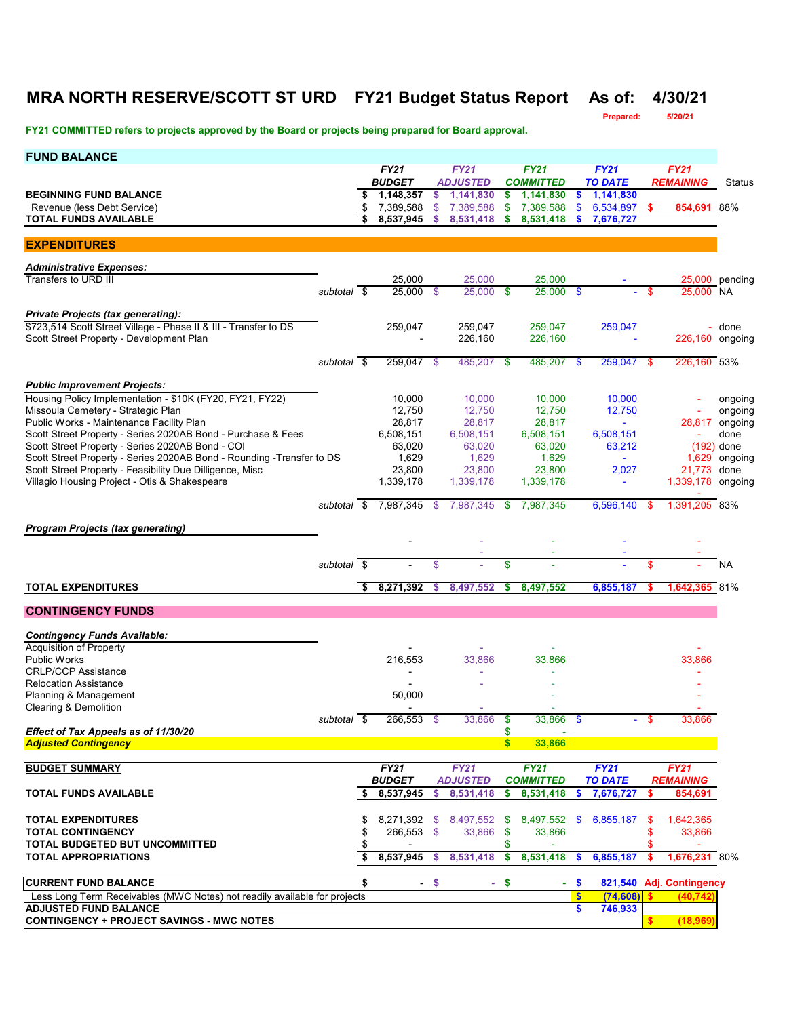# **MRA NORTH RESERVE/SCOTT ST URD FY21 Budget Status Report As of: 4/30/21**

**Prepared: 5/20/21**

**FY21 COMMITTED refers to projects approved by the Board or projects being prepared for Board approval.** 

| <b>FUND BALANCE</b>                                                                             |             |    |                                     |        |                                |        |                                 |                               |                  |              |                                 |                    |
|-------------------------------------------------------------------------------------------------|-------------|----|-------------------------------------|--------|--------------------------------|--------|---------------------------------|-------------------------------|------------------|--------------|---------------------------------|--------------------|
|                                                                                                 |             |    | <b>FY21</b><br><b>BUDGET</b>        |        | <b>FY21</b><br><b>ADJUSTED</b> |        | <b>FY21</b><br><b>COMMITTED</b> | <b>FY21</b><br><b>TO DATE</b> |                  |              | <b>FY21</b><br><b>REMAINING</b> | Status             |
| <b>BEGINNING FUND BALANCE</b>                                                                   |             | S  | 1,148,357                           | \$     | 1,141,830                      | \$     | 1,141,830                       | \$                            | 1,141,830        |              |                                 |                    |
| Revenue (less Debt Service)                                                                     |             | \$ | 7,389,588                           | \$     | 7,389,588                      | \$     | 7,389,588                       | \$                            | 6,534,897        | -\$          | 854,691 88%                     |                    |
| <b>TOTAL FUNDS AVAILABLE</b>                                                                    |             |    | 8,537,945                           | \$     | 8,531,418                      | \$     | 8,531,418                       | \$                            | 7,676,727        |              |                                 |                    |
| <b>EXPENDITURES</b>                                                                             |             |    |                                     |        |                                |        |                                 |                               |                  |              |                                 |                    |
| <b>Administrative Expenses:</b>                                                                 |             |    |                                     |        |                                |        |                                 |                               |                  |              |                                 |                    |
| Transfers to URD III                                                                            |             |    | 25,000                              |        | 25,000                         |        | 25,000                          |                               |                  |              |                                 | 25,000 pending     |
|                                                                                                 | subtotal \$ |    | 25,000 \$                           |        | $25,000$ \$                    |        | $25,000$ \$                     |                               |                  | \$.          | 25,000 NA                       |                    |
| <b>Private Projects (tax generating):</b>                                                       |             |    |                                     |        |                                |        |                                 |                               |                  |              |                                 |                    |
| \$723,514 Scott Street Village - Phase II & III - Transfer to DS                                |             |    | 259,047                             |        | 259,047                        |        | 259,047                         |                               | 259,047          |              |                                 | - done             |
| Scott Street Property - Development Plan                                                        |             |    |                                     |        | 226,160                        |        | 226,160                         |                               |                  |              | 226,160 ongoing                 |                    |
|                                                                                                 | subtotal \$ |    | 259,047 \$                          |        | 485,207 \$                     |        | 485,207                         | \$                            | 259,047 \$       |              | 226,160 53%                     |                    |
|                                                                                                 |             |    |                                     |        |                                |        |                                 |                               |                  |              |                                 |                    |
| <b>Public Improvement Projects:</b><br>Housing Policy Implementation - \$10K (FY20, FY21, FY22) |             |    |                                     |        |                                |        |                                 |                               |                  |              |                                 |                    |
| Missoula Cemetery - Strategic Plan                                                              |             |    | 10,000<br>12,750                    |        | 10,000<br>12,750               |        | 10,000<br>12.750                |                               | 10,000<br>12,750 |              |                                 | ongoing<br>ongoing |
| Public Works - Maintenance Facility Plan                                                        |             |    | 28,817                              |        | 28,817                         |        | 28,817                          |                               | $\omega_{\rm c}$ |              | 28,817                          | ongoing            |
| Scott Street Property - Series 2020AB Bond - Purchase & Fees                                    |             |    | 6,508,151                           |        | 6,508,151                      |        | 6,508,151                       |                               | 6,508,151        |              |                                 | done               |
| Scott Street Property - Series 2020AB Bond - COI                                                |             |    | 63,020                              |        | 63,020                         |        | 63,020                          |                               | 63,212           |              |                                 | $(192)$ done       |
| Scott Street Property - Series 2020AB Bond - Rounding - Transfer to DS                          |             |    | 1,629                               |        | 1,629                          |        | 1,629                           |                               |                  |              | 1,629                           | ongoing            |
| Scott Street Property - Feasibility Due Dilligence, Misc                                        |             |    | 23,800                              |        | 23,800                         |        | 23,800                          |                               | 2,027            |              | 21,773                          | done               |
| Villagio Housing Project - Otis & Shakespeare                                                   |             |    | 1,339,178                           |        | 1,339,178                      |        | 1,339,178                       |                               | $\blacksquare$   |              | 1,339,178                       | ongoing            |
|                                                                                                 |             |    | subtotal $\frac{1}{2}$ 7,987,345 \$ |        | 7,987,345 \$                   |        | 7,987,345                       |                               | 6.596.140        | - \$         | 1,391,205 83%                   |                    |
| <b>Program Projects (tax generating)</b>                                                        |             |    |                                     |        |                                |        |                                 |                               |                  |              |                                 |                    |
|                                                                                                 |             |    |                                     |        |                                |        |                                 |                               |                  |              |                                 |                    |
|                                                                                                 |             |    |                                     |        |                                |        |                                 |                               |                  |              |                                 |                    |
|                                                                                                 | subtotal \$ |    |                                     | \$     |                                | \$     |                                 |                               |                  | \$           |                                 | <b>NA</b>          |
| <b>TOTAL EXPENDITURES</b>                                                                       |             |    | 8,271,392                           | s      | 8,497,552                      | 5      | 8,497,552                       |                               | 6,855,187        |              | 1,642,365                       | 81%                |
| <b>CONTINGENCY FUNDS</b>                                                                        |             |    |                                     |        |                                |        |                                 |                               |                  |              |                                 |                    |
| <b>Contingency Funds Available:</b>                                                             |             |    |                                     |        |                                |        |                                 |                               |                  |              |                                 |                    |
| <b>Acquisition of Property</b>                                                                  |             |    |                                     |        |                                |        |                                 |                               |                  |              |                                 |                    |
| <b>Public Works</b><br><b>CRLP/CCP Assistance</b>                                               |             |    | 216,553                             |        | 33,866                         |        | 33,866                          |                               |                  |              | 33,866                          |                    |
| <b>Relocation Assistance</b>                                                                    |             |    |                                     |        |                                |        |                                 |                               |                  |              |                                 |                    |
| Planning & Management                                                                           |             |    | 50,000                              |        |                                |        |                                 |                               |                  |              |                                 |                    |
| Clearing & Demolition                                                                           |             |    |                                     |        |                                |        |                                 |                               |                  |              |                                 |                    |
|                                                                                                 | subtotal \$ |    | 266,553 \$                          |        | 33,866                         | Φ      | 33,866 \$                       |                               |                  |              | კა,ბხნ                          |                    |
| Effect of Tax Appeals as of 11/30/20                                                            |             |    |                                     |        |                                |        |                                 |                               |                  |              |                                 |                    |
| <b>Adjusted Contingency</b>                                                                     |             |    |                                     |        |                                | S      | 33,866                          |                               |                  |              |                                 |                    |
| <b>BUDGET SUMMARY</b>                                                                           |             |    | <b>FY21</b>                         |        | <b>FY21</b>                    |        | <b>FY21</b>                     |                               | <b>FY21</b>      |              | <b>FY21</b>                     |                    |
|                                                                                                 |             |    | <b>BUDGET</b>                       |        | <b>ADJUSTED</b>                |        | <b>COMMITTED</b>                |                               | <b>TO DATE</b>   |              | <b>REMAINING</b>                |                    |
| <b>TOTAL FUNDS AVAILABLE</b>                                                                    |             | \$ | 8,537,945                           | \$     | 8,531,418                      | \$     | 8,531,418                       | \$                            | 7,676,727        | \$           | 854,691                         |                    |
|                                                                                                 |             |    |                                     |        |                                |        |                                 |                               |                  |              |                                 |                    |
| <b>TOTAL EXPENDITURES</b>                                                                       |             | \$ | 8,271,392 \$                        |        | 8,497,552 \$                   |        | 8,497,552 \$                    |                               | 6,855,187        | \$           | 1,642,365                       |                    |
| <b>TOTAL CONTINGENCY</b>                                                                        |             | \$ | 266,553 \$                          |        | 33,866 \$                      |        | 33,866                          |                               |                  | \$           | 33,866                          |                    |
| TOTAL BUDGETED BUT UNCOMMITTED                                                                  |             |    |                                     |        |                                | \$     |                                 |                               |                  | \$           |                                 |                    |
| <b>TOTAL APPROPRIATIONS</b>                                                                     |             | \$ | 8,537,945                           | s      | 8,531,418                      | \$     | 8,531,418                       | \$.                           | 6,855,187        | -S           | 1,676,231 80%                   |                    |
| <b>CURRENT FUND BALANCE</b>                                                                     |             | \$ |                                     | $-$ \$ |                                | $-$ \$ | $\blacksquare$                  | \$                            | 821,540          |              | <b>Adj. Contingency</b>         |                    |
| Less Long Term Receivables (MWC Notes) not readily available for projects                       |             |    |                                     |        |                                |        |                                 | $\mathbf{s}$                  | (74, 608)        | $\mathbf{s}$ | (40, 74)                        |                    |
| <b>ADJUSTED FUND BALANCE</b>                                                                    |             |    |                                     |        |                                |        |                                 | \$                            | 746,933          |              |                                 |                    |
| <b>CONTINGENCY + PROJECT SAVINGS - MWC NOTES</b>                                                |             |    |                                     |        |                                |        |                                 |                               |                  | \$.          | (18, 969)                       |                    |